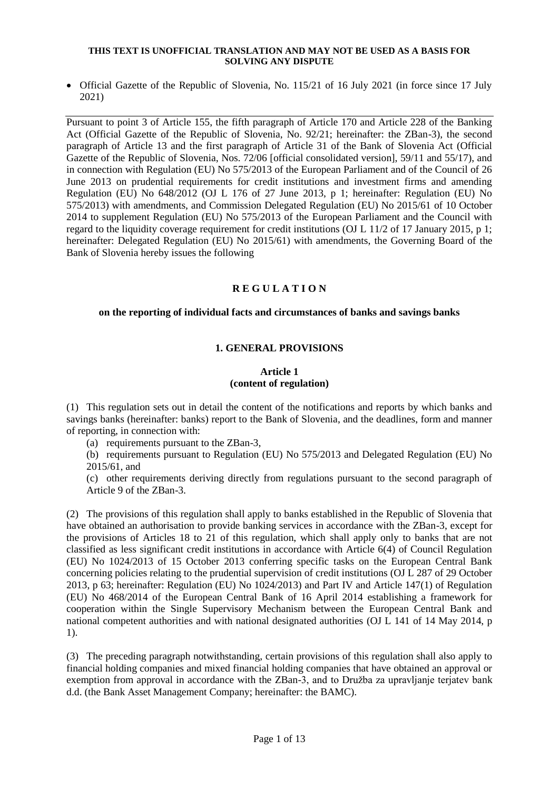• Official Gazette of the Republic of Slovenia, No. 115/21 of 16 July 2021 (in force since 17 July 2021)

Pursuant to point 3 of Article 155, the fifth paragraph of Article 170 and Article 228 of the Banking Act (Official Gazette of the Republic of Slovenia, No. 92/21; hereinafter: the ZBan-3), the second paragraph of Article 13 and the first paragraph of Article 31 of the Bank of Slovenia Act (Official Gazette of the Republic of Slovenia, Nos. 72/06 [official consolidated version], 59/11 and 55/17), and in connection with Regulation (EU) No 575/2013 of the European Parliament and of the Council of 26 June 2013 on prudential requirements for credit institutions and investment firms and amending Regulation (EU) No 648/2012 (OJ L 176 of 27 June 2013, p 1; hereinafter: Regulation (EU) No 575/2013) with amendments, and Commission Delegated Regulation (EU) No 2015/61 of 10 October 2014 to supplement Regulation (EU) No 575/2013 of the European Parliament and the Council with regard to the liquidity coverage requirement for credit institutions (OJ L 11/2 of 17 January 2015, p 1; hereinafter: Delegated Regulation (EU) No 2015/61) with amendments, the Governing Board of the Bank of Slovenia hereby issues the following

# **R E G U L A T I O N**

## **on the reporting of individual facts and circumstances of banks and savings banks**

# **1. GENERAL PROVISIONS**

### **Article 1 (content of regulation)**

(1) This regulation sets out in detail the content of the notifications and reports by which banks and savings banks (hereinafter: banks) report to the Bank of Slovenia, and the deadlines, form and manner of reporting, in connection with:

(a) requirements pursuant to the ZBan-3,

(b) requirements pursuant to Regulation (EU) No 575/2013 and Delegated Regulation (EU) No 2015/61, and

(c) other requirements deriving directly from regulations pursuant to the second paragraph of Article 9 of the ZBan-3.

(2) The provisions of this regulation shall apply to banks established in the Republic of Slovenia that have obtained an authorisation to provide banking services in accordance with the ZBan-3, except for the provisions of Articles 18 to 21 of this regulation, which shall apply only to banks that are not classified as less significant credit institutions in accordance with Article 6(4) of Council Regulation (EU) No 1024/2013 of 15 October 2013 conferring specific tasks on the European Central Bank concerning policies relating to the prudential supervision of credit institutions (OJ L 287 of 29 October 2013, p 63; hereinafter: Regulation (EU) No 1024/2013) and Part IV and Article 147(1) of Regulation (EU) No 468/2014 of the European Central Bank of 16 April 2014 establishing a framework for cooperation within the Single Supervisory Mechanism between the European Central Bank and national competent authorities and with national designated authorities (OJ L 141 of 14 May 2014, p 1).

(3) The preceding paragraph notwithstanding, certain provisions of this regulation shall also apply to financial holding companies and mixed financial holding companies that have obtained an approval or exemption from approval in accordance with the ZBan-3, and to Družba za upravljanje terjatev bank d.d. (the Bank Asset Management Company; hereinafter: the BAMC).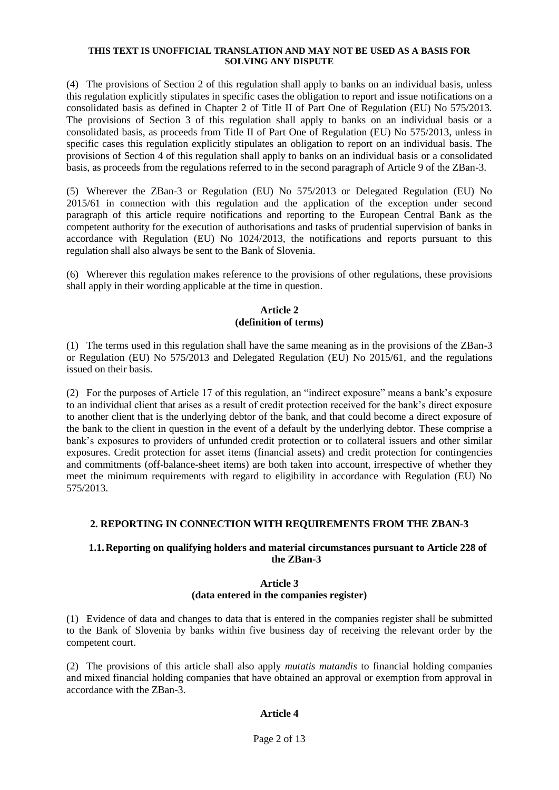(4) The provisions of Section 2 of this regulation shall apply to banks on an individual basis, unless this regulation explicitly stipulates in specific cases the obligation to report and issue notifications on a consolidated basis as defined in Chapter 2 of Title II of Part One of Regulation (EU) No 575/2013. The provisions of Section 3 of this regulation shall apply to banks on an individual basis or a consolidated basis, as proceeds from Title II of Part One of Regulation (EU) No 575/2013, unless in specific cases this regulation explicitly stipulates an obligation to report on an individual basis. The provisions of Section 4 of this regulation shall apply to banks on an individual basis or a consolidated basis, as proceeds from the regulations referred to in the second paragraph of Article 9 of the ZBan-3.

(5) Wherever the ZBan-3 or Regulation (EU) No 575/2013 or Delegated Regulation (EU) No 2015/61 in connection with this regulation and the application of the exception under second paragraph of this article require notifications and reporting to the European Central Bank as the competent authority for the execution of authorisations and tasks of prudential supervision of banks in accordance with Regulation (EU) No 1024/2013, the notifications and reports pursuant to this regulation shall also always be sent to the Bank of Slovenia.

(6) Wherever this regulation makes reference to the provisions of other regulations, these provisions shall apply in their wording applicable at the time in question.

## **Article 2 (definition of terms)**

(1) The terms used in this regulation shall have the same meaning as in the provisions of the ZBan-3 or Regulation (EU) No 575/2013 and Delegated Regulation (EU) No 2015/61, and the regulations issued on their basis.

(2) For the purposes of Article 17 of this regulation, an "indirect exposure" means a bank's exposure to an individual client that arises as a result of credit protection received for the bank's direct exposure to another client that is the underlying debtor of the bank, and that could become a direct exposure of the bank to the client in question in the event of a default by the underlying debtor. These comprise a bank's exposures to providers of unfunded credit protection or to collateral issuers and other similar exposures. Credit protection for asset items (financial assets) and credit protection for contingencies and commitments (off-balance-sheet items) are both taken into account, irrespective of whether they meet the minimum requirements with regard to eligibility in accordance with Regulation (EU) No 575/2013.

# **2. REPORTING IN CONNECTION WITH REQUIREMENTS FROM THE ZBAN-3**

## **1.1.Reporting on qualifying holders and material circumstances pursuant to Article 228 of the ZBan-3**

## **Article 3 (data entered in the companies register)**

(1) Evidence of data and changes to data that is entered in the companies register shall be submitted to the Bank of Slovenia by banks within five business day of receiving the relevant order by the competent court.

(2) The provisions of this article shall also apply *mutatis mutandis* to financial holding companies and mixed financial holding companies that have obtained an approval or exemption from approval in accordance with the ZBan-3.

# **Article 4**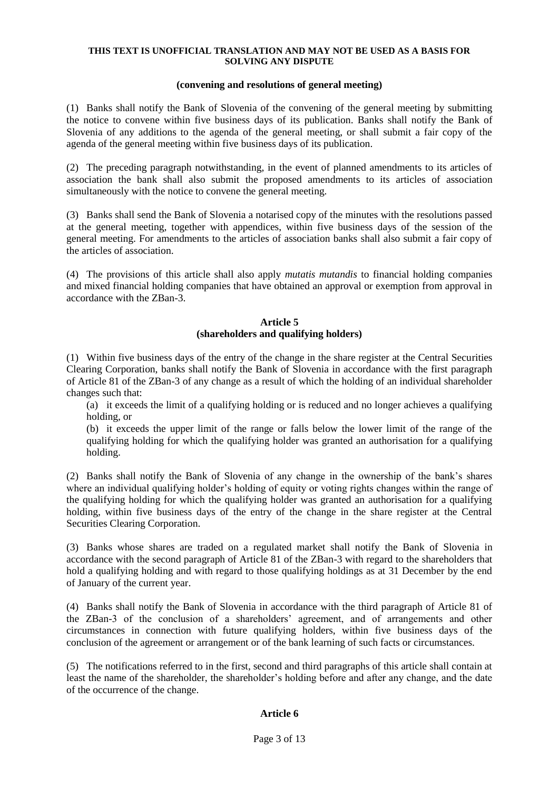### **(convening and resolutions of general meeting)**

(1) Banks shall notify the Bank of Slovenia of the convening of the general meeting by submitting the notice to convene within five business days of its publication. Banks shall notify the Bank of Slovenia of any additions to the agenda of the general meeting, or shall submit a fair copy of the agenda of the general meeting within five business days of its publication.

(2) The preceding paragraph notwithstanding, in the event of planned amendments to its articles of association the bank shall also submit the proposed amendments to its articles of association simultaneously with the notice to convene the general meeting.

(3) Banks shall send the Bank of Slovenia a notarised copy of the minutes with the resolutions passed at the general meeting, together with appendices, within five business days of the session of the general meeting. For amendments to the articles of association banks shall also submit a fair copy of the articles of association.

(4) The provisions of this article shall also apply *mutatis mutandis* to financial holding companies and mixed financial holding companies that have obtained an approval or exemption from approval in accordance with the ZBan-3.

## **Article 5 (shareholders and qualifying holders)**

(1) Within five business days of the entry of the change in the share register at the Central Securities Clearing Corporation, banks shall notify the Bank of Slovenia in accordance with the first paragraph of Article 81 of the ZBan-3 of any change as a result of which the holding of an individual shareholder changes such that:

(a) it exceeds the limit of a qualifying holding or is reduced and no longer achieves a qualifying holding, or

(b) it exceeds the upper limit of the range or falls below the lower limit of the range of the qualifying holding for which the qualifying holder was granted an authorisation for a qualifying holding.

(2) Banks shall notify the Bank of Slovenia of any change in the ownership of the bank's shares where an individual qualifying holder's holding of equity or voting rights changes within the range of the qualifying holding for which the qualifying holder was granted an authorisation for a qualifying holding, within five business days of the entry of the change in the share register at the Central Securities Clearing Corporation.

(3) Banks whose shares are traded on a regulated market shall notify the Bank of Slovenia in accordance with the second paragraph of Article 81 of the ZBan-3 with regard to the shareholders that hold a qualifying holding and with regard to those qualifying holdings as at 31 December by the end of January of the current year.

(4) Banks shall notify the Bank of Slovenia in accordance with the third paragraph of Article 81 of the ZBan-3 of the conclusion of a shareholders' agreement, and of arrangements and other circumstances in connection with future qualifying holders, within five business days of the conclusion of the agreement or arrangement or of the bank learning of such facts or circumstances.

(5) The notifications referred to in the first, second and third paragraphs of this article shall contain at least the name of the shareholder, the shareholder's holding before and after any change, and the date of the occurrence of the change.

# **Article 6**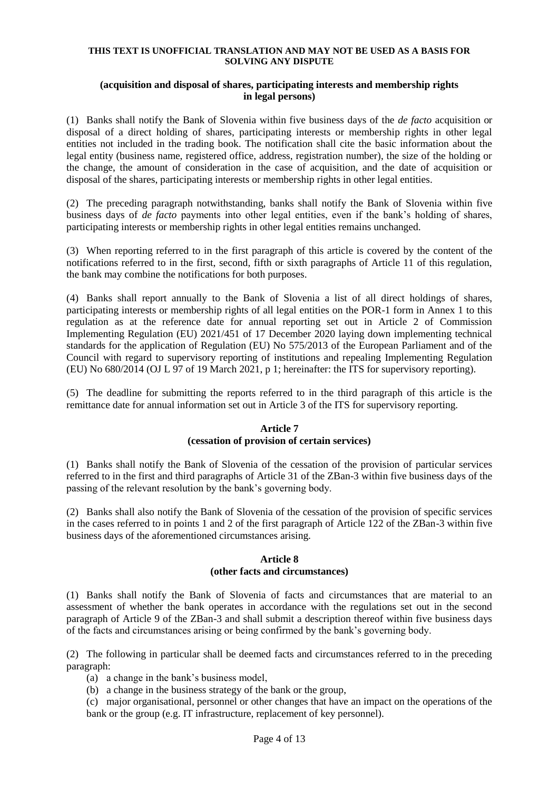### **(acquisition and disposal of shares, participating interests and membership rights in legal persons)**

(1) Banks shall notify the Bank of Slovenia within five business days of the *de facto* acquisition or disposal of a direct holding of shares, participating interests or membership rights in other legal entities not included in the trading book. The notification shall cite the basic information about the legal entity (business name, registered office, address, registration number), the size of the holding or the change, the amount of consideration in the case of acquisition, and the date of acquisition or disposal of the shares, participating interests or membership rights in other legal entities.

(2) The preceding paragraph notwithstanding, banks shall notify the Bank of Slovenia within five business days of *de facto* payments into other legal entities, even if the bank's holding of shares, participating interests or membership rights in other legal entities remains unchanged.

(3) When reporting referred to in the first paragraph of this article is covered by the content of the notifications referred to in the first, second, fifth or sixth paragraphs of Article 11 of this regulation, the bank may combine the notifications for both purposes.

(4) Banks shall report annually to the Bank of Slovenia a list of all direct holdings of shares, participating interests or membership rights of all legal entities on the POR-1 form in Annex 1 to this regulation as at the reference date for annual reporting set out in Article 2 of Commission Implementing Regulation (EU) 2021/451 of 17 December 2020 laying down implementing technical standards for the application of Regulation (EU) No 575/2013 of the European Parliament and of the Council with regard to supervisory reporting of institutions and repealing Implementing Regulation (EU) No 680/2014 (OJ L 97 of 19 March 2021, p 1; hereinafter: the ITS for supervisory reporting).

(5) The deadline for submitting the reports referred to in the third paragraph of this article is the remittance date for annual information set out in Article 3 of the ITS for supervisory reporting.

## **Article 7 (cessation of provision of certain services)**

(1) Banks shall notify the Bank of Slovenia of the cessation of the provision of particular services referred to in the first and third paragraphs of Article 31 of the ZBan-3 within five business days of the passing of the relevant resolution by the bank's governing body.

(2) Banks shall also notify the Bank of Slovenia of the cessation of the provision of specific services in the cases referred to in points 1 and 2 of the first paragraph of Article 122 of the ZBan-3 within five business days of the aforementioned circumstances arising.

### **Article 8 (other facts and circumstances)**

(1) Banks shall notify the Bank of Slovenia of facts and circumstances that are material to an assessment of whether the bank operates in accordance with the regulations set out in the second paragraph of Article 9 of the ZBan-3 and shall submit a description thereof within five business days of the facts and circumstances arising or being confirmed by the bank's governing body.

(2) The following in particular shall be deemed facts and circumstances referred to in the preceding paragraph:

- (a) a change in the bank's business model,
- (b) a change in the business strategy of the bank or the group,

(c) major organisational, personnel or other changes that have an impact on the operations of the bank or the group (e.g. IT infrastructure, replacement of key personnel).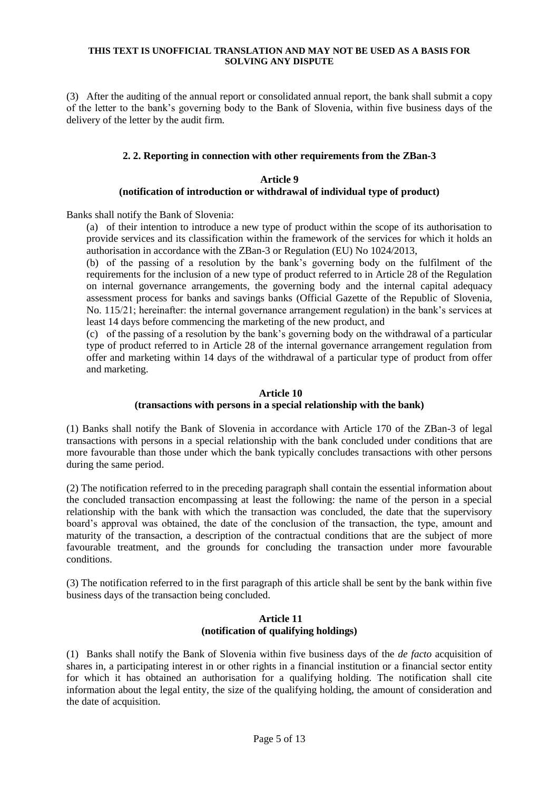(3) After the auditing of the annual report or consolidated annual report, the bank shall submit a copy of the letter to the bank's governing body to the Bank of Slovenia, within five business days of the delivery of the letter by the audit firm.

#### **2. 2. Reporting in connection with other requirements from the ZBan-3**

### **Article 9 (notification of introduction or withdrawal of individual type of product)**

Banks shall notify the Bank of Slovenia:

(a) of their intention to introduce a new type of product within the scope of its authorisation to provide services and its classification within the framework of the services for which it holds an authorisation in accordance with the ZBan-3 or Regulation (EU) No 1024/2013,

(b) of the passing of a resolution by the bank's governing body on the fulfilment of the requirements for the inclusion of a new type of product referred to in Article 28 of the Regulation on internal governance arrangements, the governing body and the internal capital adequacy assessment process for banks and savings banks (Official Gazette of the Republic of Slovenia, No. 115/21; hereinafter: the internal governance arrangement regulation) in the bank's services at least 14 days before commencing the marketing of the new product, and

(c) of the passing of a resolution by the bank's governing body on the withdrawal of a particular type of product referred to in Article 28 of the internal governance arrangement regulation from offer and marketing within 14 days of the withdrawal of a particular type of product from offer and marketing.

#### **Article 10**

#### **(transactions with persons in a special relationship with the bank)**

(1) Banks shall notify the Bank of Slovenia in accordance with Article 170 of the ZBan-3 of legal transactions with persons in a special relationship with the bank concluded under conditions that are more favourable than those under which the bank typically concludes transactions with other persons during the same period.

(2) The notification referred to in the preceding paragraph shall contain the essential information about the concluded transaction encompassing at least the following: the name of the person in a special relationship with the bank with which the transaction was concluded, the date that the supervisory board's approval was obtained, the date of the conclusion of the transaction, the type, amount and maturity of the transaction, a description of the contractual conditions that are the subject of more favourable treatment, and the grounds for concluding the transaction under more favourable conditions.

(3) The notification referred to in the first paragraph of this article shall be sent by the bank within five business days of the transaction being concluded.

#### **Article 11 (notification of qualifying holdings)**

(1) Banks shall notify the Bank of Slovenia within five business days of the *de facto* acquisition of shares in, a participating interest in or other rights in a financial institution or a financial sector entity for which it has obtained an authorisation for a qualifying holding. The notification shall cite information about the legal entity, the size of the qualifying holding, the amount of consideration and the date of acquisition.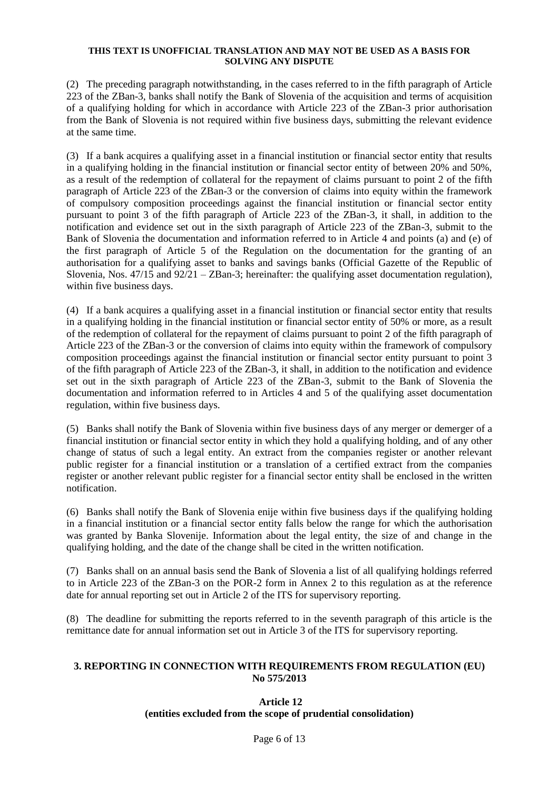(2) The preceding paragraph notwithstanding, in the cases referred to in the fifth paragraph of Article 223 of the ZBan-3, banks shall notify the Bank of Slovenia of the acquisition and terms of acquisition of a qualifying holding for which in accordance with Article 223 of the ZBan-3 prior authorisation from the Bank of Slovenia is not required within five business days, submitting the relevant evidence at the same time.

(3) If a bank acquires a qualifying asset in a financial institution or financial sector entity that results in a qualifying holding in the financial institution or financial sector entity of between 20% and 50%, as a result of the redemption of collateral for the repayment of claims pursuant to point 2 of the fifth paragraph of Article 223 of the ZBan-3 or the conversion of claims into equity within the framework of compulsory composition proceedings against the financial institution or financial sector entity pursuant to point 3 of the fifth paragraph of Article 223 of the ZBan-3, it shall, in addition to the notification and evidence set out in the sixth paragraph of Article 223 of the ZBan-3, submit to the Bank of Slovenia the documentation and information referred to in Article 4 and points (a) and (e) of the first paragraph of Article 5 of the Regulation on the documentation for the granting of an authorisation for a qualifying asset to banks and savings banks (Official Gazette of the Republic of Slovenia, Nos.  $47/15$  and  $92/21 - \text{ZBan-3}$ ; hereinafter: the qualifying asset documentation regulation), within five business days.

(4) If a bank acquires a qualifying asset in a financial institution or financial sector entity that results in a qualifying holding in the financial institution or financial sector entity of 50% or more, as a result of the redemption of collateral for the repayment of claims pursuant to point 2 of the fifth paragraph of Article 223 of the ZBan-3 or the conversion of claims into equity within the framework of compulsory composition proceedings against the financial institution or financial sector entity pursuant to point 3 of the fifth paragraph of Article 223 of the ZBan-3, it shall, in addition to the notification and evidence set out in the sixth paragraph of Article 223 of the ZBan-3, submit to the Bank of Slovenia the documentation and information referred to in Articles 4 and 5 of the qualifying asset documentation regulation, within five business days.

(5) Banks shall notify the Bank of Slovenia within five business days of any merger or demerger of a financial institution or financial sector entity in which they hold a qualifying holding, and of any other change of status of such a legal entity. An extract from the companies register or another relevant public register for a financial institution or a translation of a certified extract from the companies register or another relevant public register for a financial sector entity shall be enclosed in the written notification.

(6) Banks shall notify the Bank of Slovenia enije within five business days if the qualifying holding in a financial institution or a financial sector entity falls below the range for which the authorisation was granted by Banka Slovenije. Information about the legal entity, the size of and change in the qualifying holding, and the date of the change shall be cited in the written notification.

(7) Banks shall on an annual basis send the Bank of Slovenia a list of all qualifying holdings referred to in Article 223 of the ZBan-3 on the POR-2 form in Annex 2 to this regulation as at the reference date for annual reporting set out in Article 2 of the ITS for supervisory reporting.

(8) The deadline for submitting the reports referred to in the seventh paragraph of this article is the remittance date for annual information set out in Article 3 of the ITS for supervisory reporting.

## **3. REPORTING IN CONNECTION WITH REQUIREMENTS FROM REGULATION (EU) No 575/2013**

## **Article 12 (entities excluded from the scope of prudential consolidation)**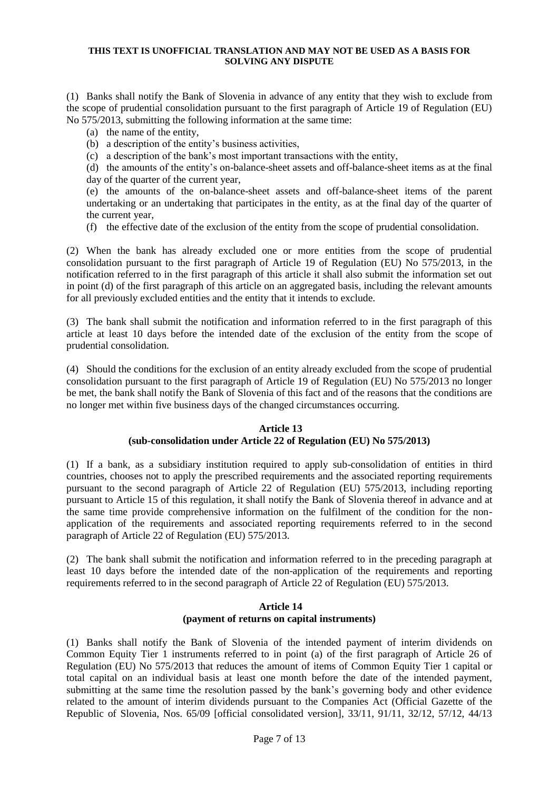(1) Banks shall notify the Bank of Slovenia in advance of any entity that they wish to exclude from the scope of prudential consolidation pursuant to the first paragraph of Article 19 of Regulation (EU) No 575/2013, submitting the following information at the same time:

- (a) the name of the entity,
- (b) a description of the entity's business activities,
- (c) a description of the bank's most important transactions with the entity,
- (d) the amounts of the entity's on-balance-sheet assets and off-balance-sheet items as at the final day of the quarter of the current year,
- (e) the amounts of the on-balance-sheet assets and off-balance-sheet items of the parent undertaking or an undertaking that participates in the entity, as at the final day of the quarter of the current year,
- (f) the effective date of the exclusion of the entity from the scope of prudential consolidation.

(2) When the bank has already excluded one or more entities from the scope of prudential consolidation pursuant to the first paragraph of Article 19 of Regulation (EU) No  $575/2013$ , in the notification referred to in the first paragraph of this article it shall also submit the information set out in point (d) of the first paragraph of this article on an aggregated basis, including the relevant amounts for all previously excluded entities and the entity that it intends to exclude.

(3) The bank shall submit the notification and information referred to in the first paragraph of this article at least 10 days before the intended date of the exclusion of the entity from the scope of prudential consolidation.

(4) Should the conditions for the exclusion of an entity already excluded from the scope of prudential consolidation pursuant to the first paragraph of Article 19 of Regulation (EU) No 575/2013 no longer be met, the bank shall notify the Bank of Slovenia of this fact and of the reasons that the conditions are no longer met within five business days of the changed circumstances occurring.

### **Article 13 (sub-consolidation under Article 22 of Regulation (EU) No 575/2013)**

(1) If a bank, as a subsidiary institution required to apply sub-consolidation of entities in third countries, chooses not to apply the prescribed requirements and the associated reporting requirements pursuant to the second paragraph of Article 22 of Regulation (EU) 575/2013, including reporting pursuant to Article 15 of this regulation, it shall notify the Bank of Slovenia thereof in advance and at the same time provide comprehensive information on the fulfilment of the condition for the nonapplication of the requirements and associated reporting requirements referred to in the second paragraph of Article 22 of Regulation (EU) 575/2013.

(2) The bank shall submit the notification and information referred to in the preceding paragraph at least 10 days before the intended date of the non-application of the requirements and reporting requirements referred to in the second paragraph of Article 22 of Regulation (EU) 575/2013.

### **Article 14 (payment of returns on capital instruments)**

(1) Banks shall notify the Bank of Slovenia of the intended payment of interim dividends on Common Equity Tier 1 instruments referred to in point (a) of the first paragraph of Article 26 of Regulation (EU) No 575/2013 that reduces the amount of items of Common Equity Tier 1 capital or total capital on an individual basis at least one month before the date of the intended payment, submitting at the same time the resolution passed by the bank's governing body and other evidence related to the amount of interim dividends pursuant to the Companies Act (Official Gazette of the Republic of Slovenia, Nos. 65/09 [official consolidated version], 33/11, 91/11, 32/12, 57/12, 44/13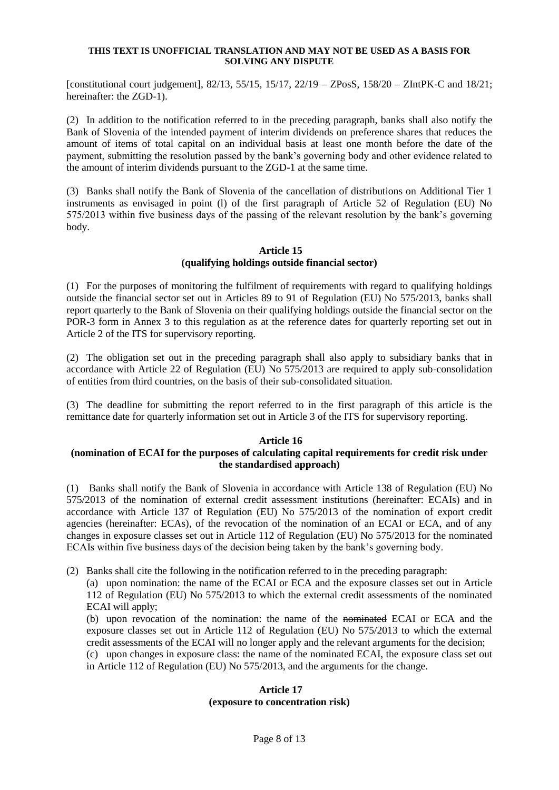[constitutional court judgement], 82/13, 55/15, 15/17, 22/19 – ZPosS, 158/20 – ZIntPK-C and 18/21; hereinafter: the ZGD-1).

(2) In addition to the notification referred to in the preceding paragraph, banks shall also notify the Bank of Slovenia of the intended payment of interim dividends on preference shares that reduces the amount of items of total capital on an individual basis at least one month before the date of the payment, submitting the resolution passed by the bank's governing body and other evidence related to the amount of interim dividends pursuant to the ZGD-1 at the same time.

(3) Banks shall notify the Bank of Slovenia of the cancellation of distributions on Additional Tier 1 instruments as envisaged in point (l) of the first paragraph of Article 52 of Regulation (EU) No 575/2013 within five business days of the passing of the relevant resolution by the bank's governing body.

### **Article 15 (qualifying holdings outside financial sector)**

(1) For the purposes of monitoring the fulfilment of requirements with regard to qualifying holdings outside the financial sector set out in Articles 89 to 91 of Regulation (EU) No 575/2013, banks shall report quarterly to the Bank of Slovenia on their qualifying holdings outside the financial sector on the POR-3 form in Annex 3 to this regulation as at the reference dates for quarterly reporting set out in Article 2 of the ITS for supervisory reporting.

(2) The obligation set out in the preceding paragraph shall also apply to subsidiary banks that in accordance with Article 22 of Regulation (EU) No 575/2013 are required to apply sub-consolidation of entities from third countries, on the basis of their sub-consolidated situation.

(3) The deadline for submitting the report referred to in the first paragraph of this article is the remittance date for quarterly information set out in Article 3 of the ITS for supervisory reporting.

#### **Article 16**

## **(nomination of ECAI for the purposes of calculating capital requirements for credit risk under the standardised approach)**

(1) Banks shall notify the Bank of Slovenia in accordance with Article 138 of Regulation (EU) No 575/2013 of the nomination of external credit assessment institutions (hereinafter: ECAIs) and in accordance with Article 137 of Regulation (EU) No 575/2013 of the nomination of export credit agencies (hereinafter: ECAs), of the revocation of the nomination of an ECAI or ECA, and of any changes in exposure classes set out in Article 112 of Regulation (EU) No 575/2013 for the nominated ECAIs within five business days of the decision being taken by the bank's governing body.

(2) Banks shall cite the following in the notification referred to in the preceding paragraph:

(a) upon nomination: the name of the ECAI or ECA and the exposure classes set out in Article 112 of Regulation (EU) No 575/2013 to which the external credit assessments of the nominated ECAI will apply;

(b) upon revocation of the nomination: the name of the nominated ECAI or ECA and the exposure classes set out in Article 112 of Regulation (EU) No 575/2013 to which the external credit assessments of the ECAI will no longer apply and the relevant arguments for the decision;

(c) upon changes in exposure class: the name of the nominated ECAI, the exposure class set out in Article 112 of Regulation (EU) No 575/2013, and the arguments for the change.

#### **Article 17 (exposure to concentration risk)**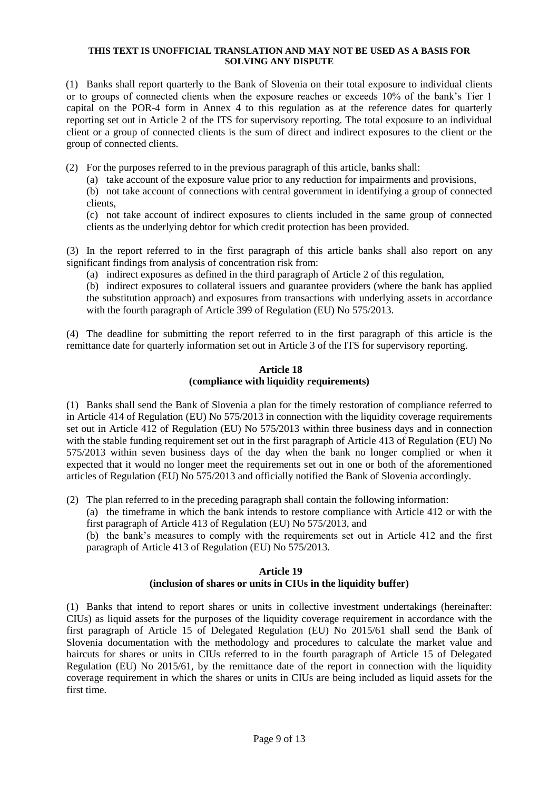(1) Banks shall report quarterly to the Bank of Slovenia on their total exposure to individual clients or to groups of connected clients when the exposure reaches or exceeds 10% of the bank's Tier 1 capital on the POR-4 form in Annex 4 to this regulation as at the reference dates for quarterly reporting set out in Article 2 of the ITS for supervisory reporting. The total exposure to an individual client or a group of connected clients is the sum of direct and indirect exposures to the client or the group of connected clients.

(2) For the purposes referred to in the previous paragraph of this article, banks shall:

(a) take account of the exposure value prior to any reduction for impairments and provisions,

(b) not take account of connections with central government in identifying a group of connected clients,

(c) not take account of indirect exposures to clients included in the same group of connected clients as the underlying debtor for which credit protection has been provided.

(3) In the report referred to in the first paragraph of this article banks shall also report on any significant findings from analysis of concentration risk from:

(a) indirect exposures as defined in the third paragraph of Article 2 of this regulation,

(b) indirect exposures to collateral issuers and guarantee providers (where the bank has applied the substitution approach) and exposures from transactions with underlying assets in accordance with the fourth paragraph of Article 399 of Regulation (EU) No 575/2013.

(4) The deadline for submitting the report referred to in the first paragraph of this article is the remittance date for quarterly information set out in Article 3 of the ITS for supervisory reporting.

#### **Article 18 (compliance with liquidity requirements)**

(1) Banks shall send the Bank of Slovenia a plan for the timely restoration of compliance referred to in Article 414 of Regulation (EU) No 575/2013 in connection with the liquidity coverage requirements set out in Article 412 of Regulation (EU) No 575/2013 within three business days and in connection with the stable funding requirement set out in the first paragraph of Article 413 of Regulation (EU) No 575/2013 within seven business days of the day when the bank no longer complied or when it expected that it would no longer meet the requirements set out in one or both of the aforementioned articles of Regulation (EU) No 575/2013 and officially notified the Bank of Slovenia accordingly.

(2) The plan referred to in the preceding paragraph shall contain the following information:

(a) the timeframe in which the bank intends to restore compliance with Article 412 or with the first paragraph of Article 413 of Regulation (EU) No 575/2013, and

(b) the bank's measures to comply with the requirements set out in Article 412 and the first paragraph of Article 413 of Regulation (EU) No 575/2013.

#### **Article 19**

# **(inclusion of shares or units in CIUs in the liquidity buffer)**

(1) Banks that intend to report shares or units in collective investment undertakings (hereinafter: CIUs) as liquid assets for the purposes of the liquidity coverage requirement in accordance with the first paragraph of Article 15 of Delegated Regulation (EU) No 2015/61 shall send the Bank of Slovenia documentation with the methodology and procedures to calculate the market value and haircuts for shares or units in CIUs referred to in the fourth paragraph of Article 15 of Delegated Regulation (EU) No 2015/61, by the remittance date of the report in connection with the liquidity coverage requirement in which the shares or units in CIUs are being included as liquid assets for the first time.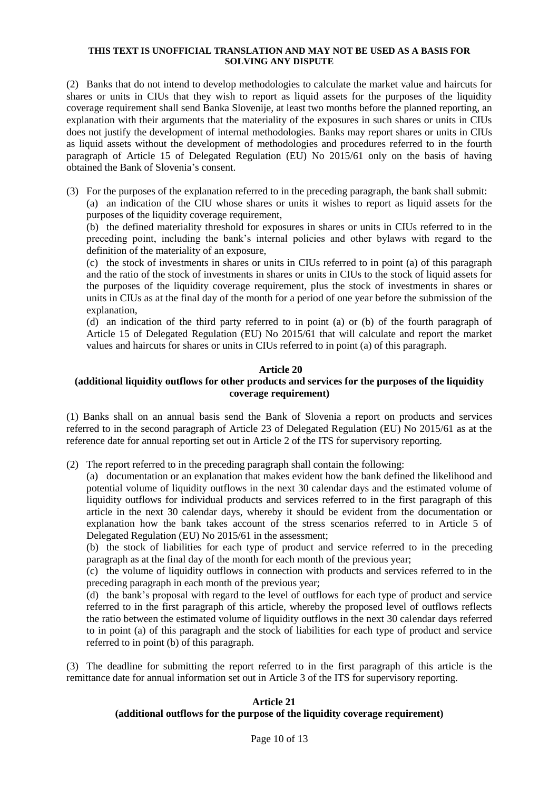(2) Banks that do not intend to develop methodologies to calculate the market value and haircuts for shares or units in CIUs that they wish to report as liquid assets for the purposes of the liquidity coverage requirement shall send Banka Slovenije, at least two months before the planned reporting, an explanation with their arguments that the materiality of the exposures in such shares or units in CIUs does not justify the development of internal methodologies. Banks may report shares or units in CIUs as liquid assets without the development of methodologies and procedures referred to in the fourth paragraph of Article 15 of Delegated Regulation (EU) No 2015/61 only on the basis of having obtained the Bank of Slovenia's consent.

(3) For the purposes of the explanation referred to in the preceding paragraph, the bank shall submit:

(a) an indication of the CIU whose shares or units it wishes to report as liquid assets for the purposes of the liquidity coverage requirement,

(b) the defined materiality threshold for exposures in shares or units in CIUs referred to in the preceding point, including the bank's internal policies and other bylaws with regard to the definition of the materiality of an exposure,

(c) the stock of investments in shares or units in CIUs referred to in point (a) of this paragraph and the ratio of the stock of investments in shares or units in CIUs to the stock of liquid assets for the purposes of the liquidity coverage requirement, plus the stock of investments in shares or units in CIUs as at the final day of the month for a period of one year before the submission of the explanation,

(d) an indication of the third party referred to in point (a) or (b) of the fourth paragraph of Article 15 of Delegated Regulation (EU) No 2015/61 that will calculate and report the market values and haircuts for shares or units in CIUs referred to in point (a) of this paragraph.

## **Article 20**

## **(additional liquidity outflows for other products and services for the purposes of the liquidity coverage requirement)**

(1) Banks shall on an annual basis send the Bank of Slovenia a report on products and services referred to in the second paragraph of Article 23 of Delegated Regulation (EU) No 2015/61 as at the reference date for annual reporting set out in Article 2 of the ITS for supervisory reporting.

(2) The report referred to in the preceding paragraph shall contain the following:

(a) documentation or an explanation that makes evident how the bank defined the likelihood and potential volume of liquidity outflows in the next 30 calendar days and the estimated volume of liquidity outflows for individual products and services referred to in the first paragraph of this article in the next 30 calendar days, whereby it should be evident from the documentation or explanation how the bank takes account of the stress scenarios referred to in Article 5 of Delegated Regulation (EU) No 2015/61 in the assessment;

(b) the stock of liabilities for each type of product and service referred to in the preceding paragraph as at the final day of the month for each month of the previous year;

(c) the volume of liquidity outflows in connection with products and services referred to in the preceding paragraph in each month of the previous year;

(d) the bank's proposal with regard to the level of outflows for each type of product and service referred to in the first paragraph of this article, whereby the proposed level of outflows reflects the ratio between the estimated volume of liquidity outflows in the next 30 calendar days referred to in point (a) of this paragraph and the stock of liabilities for each type of product and service referred to in point (b) of this paragraph.

(3) The deadline for submitting the report referred to in the first paragraph of this article is the remittance date for annual information set out in Article 3 of the ITS for supervisory reporting.

### **Article 21 (additional outflows for the purpose of the liquidity coverage requirement)**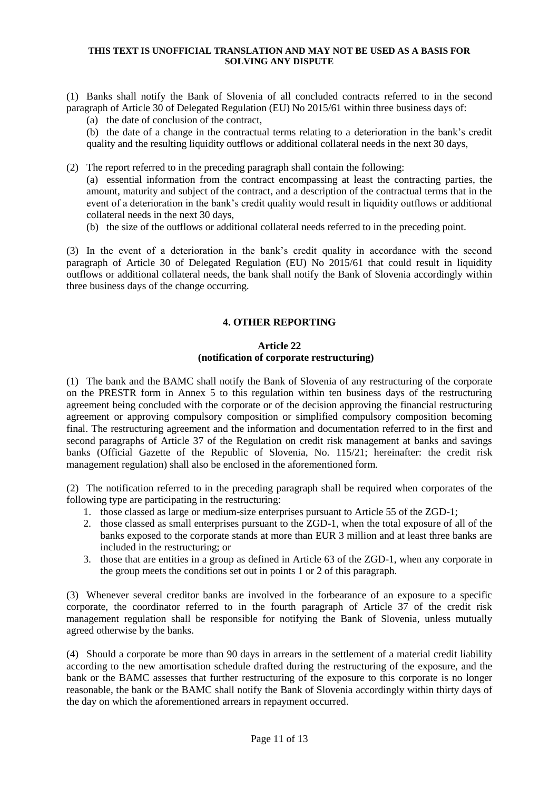(1) Banks shall notify the Bank of Slovenia of all concluded contracts referred to in the second paragraph of Article 30 of Delegated Regulation (EU) No 2015/61 within three business days of:

(a) the date of conclusion of the contract,

(b) the date of a change in the contractual terms relating to a deterioration in the bank's credit quality and the resulting liquidity outflows or additional collateral needs in the next 30 days,

(2) The report referred to in the preceding paragraph shall contain the following:

(a) essential information from the contract encompassing at least the contracting parties, the amount, maturity and subject of the contract, and a description of the contractual terms that in the event of a deterioration in the bank's credit quality would result in liquidity outflows or additional collateral needs in the next 30 days,

(b) the size of the outflows or additional collateral needs referred to in the preceding point.

(3) In the event of a deterioration in the bank's credit quality in accordance with the second paragraph of Article 30 of Delegated Regulation (EU) No 2015/61 that could result in liquidity outflows or additional collateral needs, the bank shall notify the Bank of Slovenia accordingly within three business days of the change occurring.

## **4. OTHER REPORTING**

## **Article 22 (notification of corporate restructuring)**

(1) The bank and the BAMC shall notify the Bank of Slovenia of any restructuring of the corporate on the PRESTR form in Annex 5 to this regulation within ten business days of the restructuring agreement being concluded with the corporate or of the decision approving the financial restructuring agreement or approving compulsory composition or simplified compulsory composition becoming final. The restructuring agreement and the information and documentation referred to in the first and second paragraphs of Article 37 of the Regulation on credit risk management at banks and savings banks (Official Gazette of the Republic of Slovenia, No. 115/21; hereinafter: the credit risk management regulation) shall also be enclosed in the aforementioned form.

(2) The notification referred to in the preceding paragraph shall be required when corporates of the following type are participating in the restructuring:

- 1. those classed as large or medium-size enterprises pursuant to Article 55 of the ZGD-1;
- 2. those classed as small enterprises pursuant to the ZGD-1, when the total exposure of all of the banks exposed to the corporate stands at more than EUR 3 million and at least three banks are included in the restructuring; or
- 3. those that are entities in a group as defined in Article 63 of the ZGD-1, when any corporate in the group meets the conditions set out in points 1 or 2 of this paragraph.

(3) Whenever several creditor banks are involved in the forbearance of an exposure to a specific corporate, the coordinator referred to in the fourth paragraph of Article 37 of the credit risk management regulation shall be responsible for notifying the Bank of Slovenia, unless mutually agreed otherwise by the banks.

(4) Should a corporate be more than 90 days in arrears in the settlement of a material credit liability according to the new amortisation schedule drafted during the restructuring of the exposure, and the bank or the BAMC assesses that further restructuring of the exposure to this corporate is no longer reasonable, the bank or the BAMC shall notify the Bank of Slovenia accordingly within thirty days of the day on which the aforementioned arrears in repayment occurred.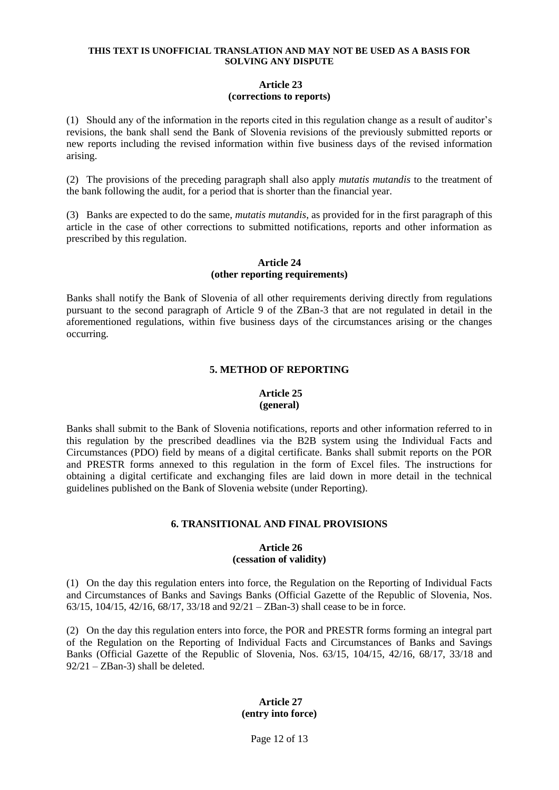## **Article 23 (corrections to reports)**

(1) Should any of the information in the reports cited in this regulation change as a result of auditor's revisions, the bank shall send the Bank of Slovenia revisions of the previously submitted reports or new reports including the revised information within five business days of the revised information arising.

(2) The provisions of the preceding paragraph shall also apply *mutatis mutandis* to the treatment of the bank following the audit, for a period that is shorter than the financial year.

(3) Banks are expected to do the same, *mutatis mutandis*, as provided for in the first paragraph of this article in the case of other corrections to submitted notifications, reports and other information as prescribed by this regulation.

### **Article 24 (other reporting requirements)**

Banks shall notify the Bank of Slovenia of all other requirements deriving directly from regulations pursuant to the second paragraph of Article 9 of the ZBan-3 that are not regulated in detail in the aforementioned regulations, within five business days of the circumstances arising or the changes occurring.

## **5. METHOD OF REPORTING**

#### **Article 25 (general)**

Banks shall submit to the Bank of Slovenia notifications, reports and other information referred to in this regulation by the prescribed deadlines via the B2B system using the Individual Facts and Circumstances (PDO) field by means of a digital certificate. Banks shall submit reports on the POR and PRESTR forms annexed to this regulation in the form of Excel files. The instructions for obtaining a digital certificate and exchanging files are laid down in more detail in the technical guidelines published on the Bank of Slovenia website (under Reporting).

# **6. TRANSITIONAL AND FINAL PROVISIONS**

#### **Article 26 (cessation of validity)**

(1) On the day this regulation enters into force, the Regulation on the Reporting of Individual Facts and Circumstances of Banks and Savings Banks (Official Gazette of the Republic of Slovenia, Nos. 63/15, 104/15, 42/16, 68/17, 33/18 and 92/21 – ZBan-3) shall cease to be in force.

(2) On the day this regulation enters into force, the POR and PRESTR forms forming an integral part of the Regulation on the Reporting of Individual Facts and Circumstances of Banks and Savings Banks (Official Gazette of the Republic of Slovenia, Nos. 63/15, 104/15, 42/16, 68/17, 33/18 and 92/21 – ZBan-3) shall be deleted.

# **Article 27 (entry into force)**

Page 12 of 13